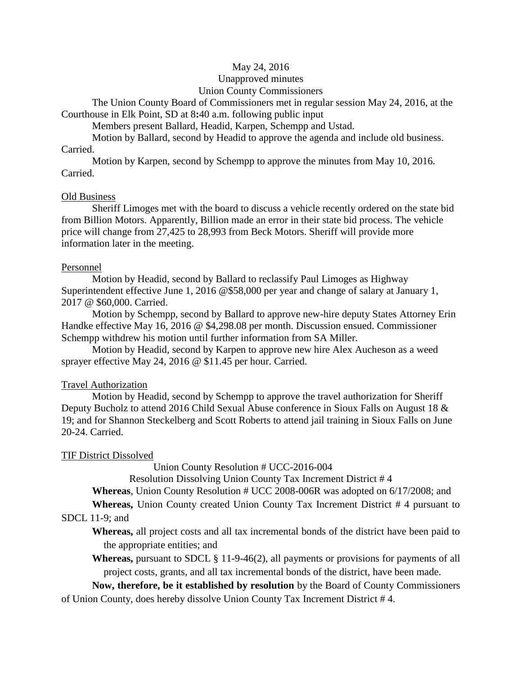### May 24, 2016

### Unapproved minutes

### Union County Commissioners

The Union County Board of Commissioners met in regular session May 24, 2016, at the Courthouse in Elk Point, SD at 8**:**40 a.m. following public input

Members present Ballard, Headid, Karpen, Schempp and Ustad.

Motion by Ballard, second by Headid to approve the agenda and include old business. Carried.

Motion by Karpen, second by Schempp to approve the minutes from May 10, 2016. Carried.

### Old Business

Sheriff Limoges met with the board to discuss a vehicle recently ordered on the state bid from Billion Motors. Apparently, Billion made an error in their state bid process. The vehicle price will change from 27,425 to 28,993 from Beck Motors. Sheriff will provide more information later in the meeting.

### Personnel

Motion by Headid, second by Ballard to reclassify Paul Limoges as Highway Superintendent effective June 1, 2016 @\$58,000 per year and change of salary at January 1, 2017 @ \$60,000. Carried.

Motion by Schempp, second by Ballard to approve new-hire deputy States Attorney Erin Handke effective May 16, 2016 @ \$4,298.08 per month. Discussion ensued. Commissioner Schempp withdrew his motion until further information from SA Miller.

Motion by Headid, second by Karpen to approve new hire Alex Aucheson as a weed sprayer effective May 24, 2016 @ \$11.45 per hour. Carried.

# Travel Authorization

Motion by Headid, second by Schempp to approve the travel authorization for Sheriff Deputy Bucholz to attend 2016 Child Sexual Abuse conference in Sioux Falls on August 18 & 19; and for Shannon Steckelberg and Scott Roberts to attend jail training in Sioux Falls on June 20-24. Carried.

# TIF District Dissolved

Union County Resolution # UCC-2016-004

Resolution Dissolving Union County Tax Increment District # 4

**Whereas**, Union County Resolution # UCC 2008-006R was adopted on 6/17/2008; and

**Whereas,** Union County created Union County Tax Increment District # 4 pursuant to SDCL 11-9; and

# **Whereas,** all project costs and all tax incremental bonds of the district have been paid to the appropriate entities; and

**Whereas,** pursuant to SDCL § 11-9-46(2), all payments or provisions for payments of all project costs, grants, and all tax incremental bonds of the district, have been made.

**Now, therefore, be it established by resolution** by the Board of County Commissioners of Union County, does hereby dissolve Union County Tax Increment District # 4.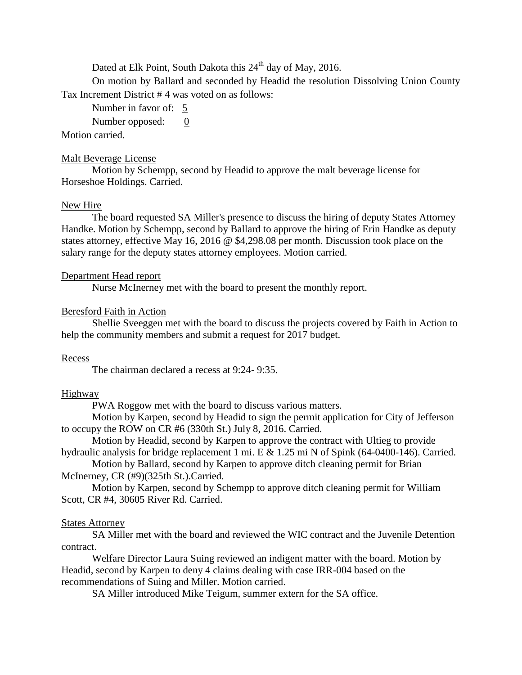Dated at Elk Point, South Dakota this  $24<sup>th</sup>$  day of May, 2016.

On motion by Ballard and seconded by Headid the resolution Dissolving Union County Tax Increment District # 4 was voted on as follows:

Number in favor of: 5

Number opposed: 0

### Motion carried.

#### Malt Beverage License

Motion by Schempp, second by Headid to approve the malt beverage license for Horseshoe Holdings. Carried.

#### New Hire

The board requested SA Miller's presence to discuss the hiring of deputy States Attorney Handke. Motion by Schempp, second by Ballard to approve the hiring of Erin Handke as deputy states attorney, effective May 16, 2016 @ \$4,298.08 per month. Discussion took place on the salary range for the deputy states attorney employees. Motion carried.

#### Department Head report

Nurse McInerney met with the board to present the monthly report.

### Beresford Faith in Action

Shellie Sveeggen met with the board to discuss the projects covered by Faith in Action to help the community members and submit a request for 2017 budget.

#### Recess

The chairman declared a recess at 9:24- 9:35.

#### Highway

PWA Roggow met with the board to discuss various matters.

Motion by Karpen, second by Headid to sign the permit application for City of Jefferson to occupy the ROW on CR #6 (330th St.) July 8, 2016. Carried.

Motion by Headid, second by Karpen to approve the contract with Ultieg to provide hydraulic analysis for bridge replacement 1 mi. E & 1.25 mi N of Spink (64-0400-146). Carried.

Motion by Ballard, second by Karpen to approve ditch cleaning permit for Brian McInerney, CR (#9)(325th St.).Carried.

Motion by Karpen, second by Schempp to approve ditch cleaning permit for William Scott, CR #4, 30605 River Rd. Carried.

### States Attorney

SA Miller met with the board and reviewed the WIC contract and the Juvenile Detention contract.

Welfare Director Laura Suing reviewed an indigent matter with the board. Motion by Headid, second by Karpen to deny 4 claims dealing with case IRR-004 based on the recommendations of Suing and Miller. Motion carried.

SA Miller introduced Mike Teigum, summer extern for the SA office.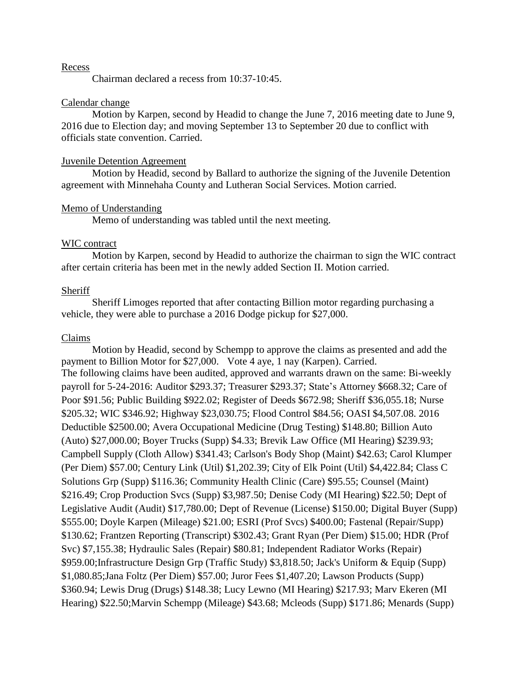#### Recess

Chairman declared a recess from 10:37-10:45.

### Calendar change

Motion by Karpen, second by Headid to change the June 7, 2016 meeting date to June 9, 2016 due to Election day; and moving September 13 to September 20 due to conflict with officials state convention. Carried.

#### Juvenile Detention Agreement

Motion by Headid, second by Ballard to authorize the signing of the Juvenile Detention agreement with Minnehaha County and Lutheran Social Services. Motion carried.

#### Memo of Understanding

Memo of understanding was tabled until the next meeting.

### WIC contract

Motion by Karpen, second by Headid to authorize the chairman to sign the WIC contract after certain criteria has been met in the newly added Section II. Motion carried.

#### Sheriff

Sheriff Limoges reported that after contacting Billion motor regarding purchasing a vehicle, they were able to purchase a 2016 Dodge pickup for \$27,000.

#### Claims

Motion by Headid, second by Schempp to approve the claims as presented and add the payment to Billion Motor for \$27,000. Vote 4 aye, 1 nay (Karpen). Carried. The following claims have been audited, approved and warrants drawn on the same: Bi-weekly payroll for 5-24-2016: Auditor \$293.37; Treasurer \$293.37; State's Attorney \$668.32; Care of Poor \$91.56; Public Building \$922.02; Register of Deeds \$672.98; Sheriff \$36,055.18; Nurse \$205.32; WIC \$346.92; Highway \$23,030.75; Flood Control \$84.56; OASI \$4,507.08. 2016 Deductible \$2500.00; Avera Occupational Medicine (Drug Testing) \$148.80; Billion Auto (Auto) \$27,000.00; Boyer Trucks (Supp) \$4.33; Brevik Law Office (MI Hearing) \$239.93; Campbell Supply (Cloth Allow) \$341.43; Carlson's Body Shop (Maint) \$42.63; Carol Klumper (Per Diem) \$57.00; Century Link (Util) \$1,202.39; City of Elk Point (Util) \$4,422.84; Class C Solutions Grp (Supp) \$116.36; Community Health Clinic (Care) \$95.55; Counsel (Maint) \$216.49; Crop Production Svcs (Supp) \$3,987.50; Denise Cody (MI Hearing) \$22.50; Dept of Legislative Audit (Audit) \$17,780.00; Dept of Revenue (License) \$150.00; Digital Buyer (Supp) \$555.00; Doyle Karpen (Mileage) \$21.00; ESRI (Prof Svcs) \$400.00; Fastenal (Repair/Supp) \$130.62; Frantzen Reporting (Transcript) \$302.43; Grant Ryan (Per Diem) \$15.00; HDR (Prof Svc) \$7,155.38; Hydraulic Sales (Repair) \$80.81; Independent Radiator Works (Repair) \$959.00;Infrastructure Design Grp (Traffic Study) \$3,818.50; Jack's Uniform & Equip (Supp) \$1,080.85;Jana Foltz (Per Diem) \$57.00; Juror Fees \$1,407.20; Lawson Products (Supp) \$360.94; Lewis Drug (Drugs) \$148.38; Lucy Lewno (MI Hearing) \$217.93; Marv Ekeren (MI Hearing) \$22.50;Marvin Schempp (Mileage) \$43.68; Mcleods (Supp) \$171.86; Menards (Supp)